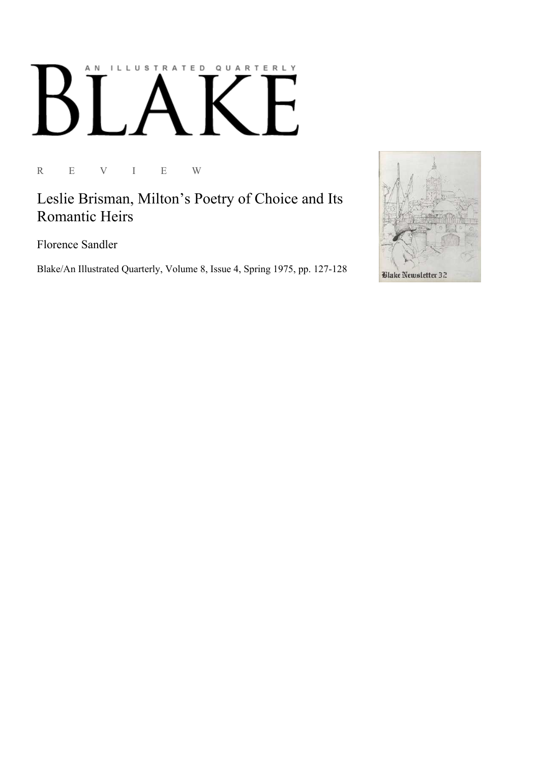## AN ILLUSTRATED QUARTERLY  $\lceil$ Ӄ

R E V I E W

Leslie Brisman, Milton's Poetry of Choice and Its Romantic Heirs

Florence Sandler

Blake/An Illustrated Quarterly, Volume 8, Issue 4, Spring 1975, pp. 127-128

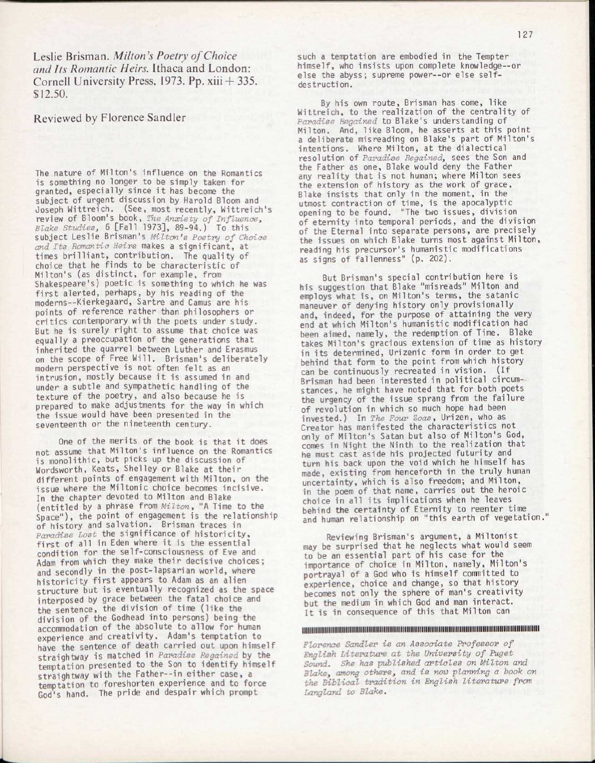Leslie Brisman. *Milton's Poetry of Choice and Its Romantic Heirs.* Ithaca and London: Cornell University Press, 1973. Pp. xiii + 335. \$12.50.

## Reviewed by Florence Sandler

The nature of Milton's influence on the Romantics is something no longer to be simply taken for granted, especially since it has become the subject of urgent discussion by Harold Bloom and Joseph Wittreich. (See, most recently, Wittreich's review of Bloom's book, *The Anxiety of Influence, Blake Studies,* 6 [Fal l 1973], 89-94.) To this subject Leslie Brisman's *Milton's Poetry of Choice*  and Its Romantic Heirs makes a significant, at times brilliant, contribution. The quality of choice that he finds to be characteristic of Milton's (as distinct, for example, from Shakespeare's) poetic is something to which he was first alerted, perhaps, by his reading of the moderns—Kierkegaard, Sartre and Camus are his points of reference rather than philosophers or critics contemporary with the poets under study. But he is surely right to assume that choice was equally a preoccupation of the generations that inherited the quarrel between Luther and Erasmus on the scope of Free Will. Brisman's deliberately modern perspective is not often felt as an intrusion, mostly because it is assumed in and under a subtle and sympathetic handling of the texture of the poetry, and also because he is prepared to make adjustments for the way in which the issue would have been presented in the seventeenth or the nineteenth century.

One of the merits of the book is that it does not assume that Milton's influence on the Romantics is monolithic, but picks up the discussion of Wordsworth, Keats, Shelley or Blake at their different points of engagement with Milton, on the issue where the Miltonic choice becomes incisive. In the chapter devoted to Milton and Blake (entitle d by a phrase from *Milton,* "A Time to the Space"), the point of engagement is the relationship of history and salvation. Brisman traces in *Paradise Lost* the significance of historicity , first of all in Eden where it is the essential condition for the self-consciousness of Eve and Adam from which they make their decisive choices; and secondly in the post-lapsarian world, where historicity first appears to Adam as an alien structure but is eventually recognized as the space interposed by grace between the fatal choice and the sentence, the division of time (like the division of the Godhead into persons) being the accommodation of the absolute to allow for human experience and creativity. Adam's temptation to have the sentence of death carried out upon himself straightway is matched in *Paradise Regained* by the temptation presented to the Son to identify himself straightway with the Father--in either case, a temptation to foreshorten experience and to force God's hand. The pride and despair which prompt

such a temptation are embodied in the Tempter himself, who insists upon complete knowledge--or else the abyss; supreme power--or else selfdestruction.

By his own route, Brisman has come, like Wittreich, to the realization of the centrality of *Paradise Regained* to Blake's understanding of Milton. And, like Bloom, he asserts at this point a deliberate misreading on Blake's part of Milton's intentions. Where Milton, at the dialectical resolution of *Paradise Regained,* sees the Son and the Father as one, Blake would deny the Father any reality that is not human; where Milton sees the extension of history as the work of grace, Blake insists that only in the moment, in the utmost contraction of time, is the apocalyptic opening to be found. "The two issues, division of eternity into temporal periods, and the division of the Eternal into separate persons, are precisely the issues on which Blake turns most against Milton, reading his precursor's humanistic modifications as signs of fallenness" (p. 202).

But Brisman's special contribution here is his suggestion that Blake "misreads" Milton and employs what is, on Milton's terms, the satanic maneuver of denying history only provisionally and, indeed, for the purpose of attaining the very end at which Milton's humanistic modification had been aimed, namely, the redemption of Time. Blake takes Milton's gracious extension of time as history in its determined, Urizenic form in order to get behind that form to the point from which history can be continuously recreated in vision. (If Brisman had been interested in political circumstances, he might have noted that for both poets the urgency of the issue sprang from the failure of revolution in which so much hope had been invested.) In *The Four Zoas*, Urizen, who as Creator has manifested the characteristics not only of Milton's Satan but also of Milton's God, comes in Night the Ninth to the realization that he must cast aside his projected futurity and turn his back upon the void which he himself has made, existing from henceforth in the truly human uncertainty, which is also freedom; and Milton, in the poem of that name, carries out the heroic choice in all its implications when he leaves behind the certainty of Eternity to reenter time and human relationship on "this earth of vegetation."

Reviewing Brisman's argument, a Miltonist may be surprised that he neglects what would seem to be an essential part of his case for the importance of choice in Milton, namely, Milton's portrayal of a God who is himself committed to experience, choice and change, so that history becomes not only the sphere of man's creativity but the medium in which God and man interact. It is in consequence of this that Milton can

## IIIIIIIIIIIIIIIIIIIIIIHIIIIIIIIIIIIIIIIIIIIIIIIW

*Florence Sandler is an Associate Professor of English Literature at the University of Puget Sound. She has published articles on Milton and Blake, among others, and is now planning a book on the Biblical tradition in English literature from Langland to Blake.*